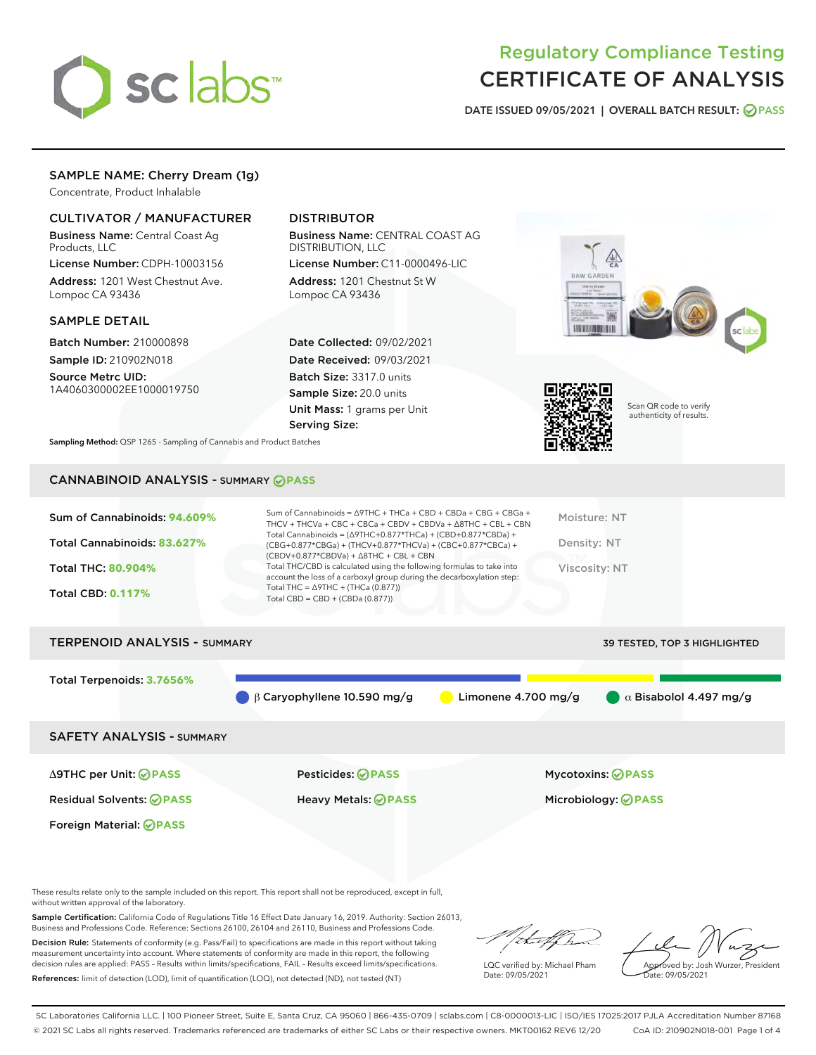

## Regulatory Compliance Testing CERTIFICATE OF ANALYSIS

DATE ISSUED 09/05/2021 | OVERALL BATCH RESULT: @ PASS

## SAMPLE NAME: Cherry Dream (1g)

Concentrate, Product Inhalable

### CULTIVATOR / MANUFACTURER

Business Name: Central Coast Ag Products, LLC

License Number: CDPH-10003156 Address: 1201 West Chestnut Ave. Lompoc CA 93436

#### SAMPLE DETAIL

Batch Number: 210000898 Sample ID: 210902N018

Source Metrc UID: 1A4060300002EE1000019750

## DISTRIBUTOR

Business Name: CENTRAL COAST AG DISTRIBUTION, LLC License Number: C11-0000496-LIC

Address: 1201 Chestnut St W Lompoc CA 93436

Date Collected: 09/02/2021 Date Received: 09/03/2021 Batch Size: 3317.0 units Sample Size: 20.0 units Unit Mass: 1 grams per Unit Serving Size:





Scan QR code to verify authenticity of results.

Sampling Method: QSP 1265 - Sampling of Cannabis and Product Batches

## CANNABINOID ANALYSIS - SUMMARY **PASS**

| Sum of Cannabinoids: 94.609% | Sum of Cannabinoids = $\triangle$ 9THC + THCa + CBD + CBDa + CBG + CBGa +<br>THCV + THCVa + CBC + CBCa + CBDV + CBDVa + $\Delta$ 8THC + CBL + CBN                                    | Moisture: NT  |
|------------------------------|--------------------------------------------------------------------------------------------------------------------------------------------------------------------------------------|---------------|
| Total Cannabinoids: 83.627%  | Total Cannabinoids = $(\Delta$ 9THC+0.877*THCa) + (CBD+0.877*CBDa) +<br>(CBG+0.877*CBGa) + (THCV+0.877*THCVa) + (CBC+0.877*CBCa) +<br>$(CBDV+0.877*CBDVa) + \Delta 8THC + CBL + CBN$ | Density: NT   |
| <b>Total THC: 80.904%</b>    | Total THC/CBD is calculated using the following formulas to take into<br>account the loss of a carboxyl group during the decarboxylation step:                                       | Viscosity: NT |
| <b>Total CBD: 0.117%</b>     | Total THC = $\triangle$ 9THC + (THCa (0.877))<br>Total CBD = $CBD + (CBDa (0.877))$                                                                                                  |               |
|                              |                                                                                                                                                                                      |               |

# TERPENOID ANALYSIS - SUMMARY 39 TESTED, TOP 3 HIGHLIGHTED Total Terpenoids: **3.7656%** β Caryophyllene 10.590 mg/g Limonene 4.700 mg/g α Bisabolol 4.497 mg/g SAFETY ANALYSIS - SUMMARY

Foreign Material: **PASS**

Residual Solvents: **PASS** Heavy Metals: **PASS** Microbiology: **PASS**

Δ9THC per Unit: **PASS** Pesticides: **PASS** Mycotoxins: **PASS**

These results relate only to the sample included on this report. This report shall not be reproduced, except in full, without written approval of the laboratory.

Sample Certification: California Code of Regulations Title 16 Effect Date January 16, 2019. Authority: Section 26013, Business and Professions Code. Reference: Sections 26100, 26104 and 26110, Business and Professions Code.

Decision Rule: Statements of conformity (e.g. Pass/Fail) to specifications are made in this report without taking measurement uncertainty into account. Where statements of conformity are made in this report, the following decision rules are applied: PASS – Results within limits/specifications, FAIL – Results exceed limits/specifications. References: limit of detection (LOD), limit of quantification (LOQ), not detected (ND), not tested (NT)

that f

LQC verified by: Michael Pham Date: 09/05/2021

Approved by: Josh Wurzer, President ate: 09/05/2021

SC Laboratories California LLC. | 100 Pioneer Street, Suite E, Santa Cruz, CA 95060 | 866-435-0709 | sclabs.com | C8-0000013-LIC | ISO/IES 17025:2017 PJLA Accreditation Number 87168 © 2021 SC Labs all rights reserved. Trademarks referenced are trademarks of either SC Labs or their respective owners. MKT00162 REV6 12/20 CoA ID: 210902N018-001 Page 1 of 4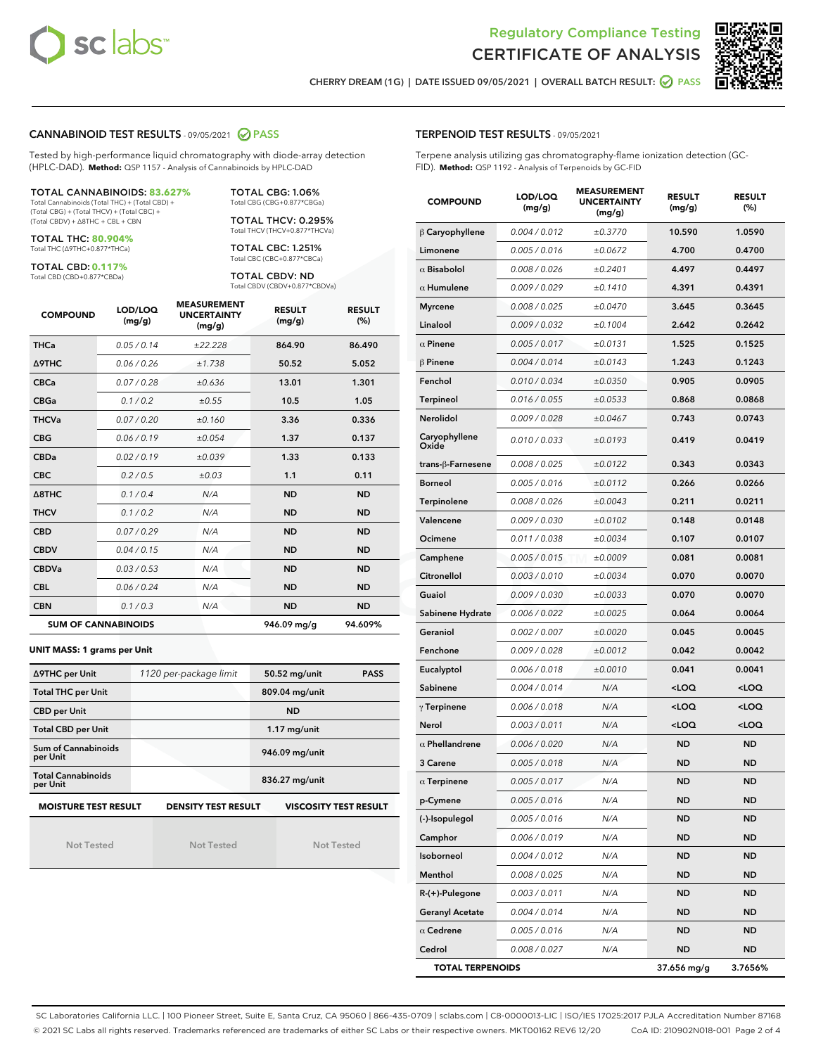



CHERRY DREAM (1G) | DATE ISSUED 09/05/2021 | OVERALL BATCH RESULT: @ PASS

#### CANNABINOID TEST RESULTS - 09/05/2021 2 PASS

Tested by high-performance liquid chromatography with diode-array detection (HPLC-DAD). **Method:** QSP 1157 - Analysis of Cannabinoids by HPLC-DAD

#### TOTAL CANNABINOIDS: **83.627%**

Total Cannabinoids (Total THC) + (Total CBD) + (Total CBG) + (Total THCV) + (Total CBC) + (Total CBDV) + ∆8THC + CBL + CBN

TOTAL THC: **80.904%** Total THC (∆9THC+0.877\*THCa)

TOTAL CBD: **0.117%**

Total CBD (CBD+0.877\*CBDa)

TOTAL CBG: 1.06% Total CBG (CBG+0.877\*CBGa)

TOTAL THCV: 0.295% Total THCV (THCV+0.877\*THCVa)

TOTAL CBC: 1.251% Total CBC (CBC+0.877\*CBCa)

TOTAL CBDV: ND Total CBDV (CBDV+0.877\*CBDVa)

| <b>COMPOUND</b>  | LOD/LOQ<br>(mg/g)          | <b>MEASUREMENT</b><br><b>UNCERTAINTY</b><br>(mg/g) | <b>RESULT</b><br>(mg/g) | <b>RESULT</b><br>(%) |
|------------------|----------------------------|----------------------------------------------------|-------------------------|----------------------|
| <b>THCa</b>      | 0.05/0.14                  | ±22.228                                            | 864.90                  | 86.490               |
| <b>A9THC</b>     | 0.06 / 0.26                | ±1.738                                             | 50.52                   | 5.052                |
| <b>CBCa</b>      | 0.07/0.28                  | ±0.636                                             | 13.01                   | 1.301                |
| <b>CBGa</b>      | 0.1/0.2                    | ±0.55                                              | 10.5                    | 1.05                 |
| <b>THCVa</b>     | 0.07/0.20                  | ±0.160                                             | 3.36                    | 0.336                |
| <b>CBG</b>       | 0.06/0.19                  | ±0.054                                             | 1.37                    | 0.137                |
| <b>CBDa</b>      | 0.02/0.19                  | ±0.039                                             | 1.33                    | 0.133                |
| <b>CBC</b>       | 0.2 / 0.5                  | ±0.03                                              | 1.1                     | 0.11                 |
| $\triangle$ 8THC | 0.1/0.4                    | N/A                                                | <b>ND</b>               | <b>ND</b>            |
| <b>THCV</b>      | 0.1/0.2                    | N/A                                                | <b>ND</b>               | <b>ND</b>            |
| <b>CBD</b>       | 0.07/0.29                  | N/A                                                | <b>ND</b>               | <b>ND</b>            |
| <b>CBDV</b>      | 0.04/0.15                  | N/A                                                | <b>ND</b>               | <b>ND</b>            |
| <b>CBDVa</b>     | 0.03/0.53                  | N/A                                                | <b>ND</b>               | <b>ND</b>            |
| <b>CBL</b>       | 0.06 / 0.24                | N/A                                                | <b>ND</b>               | <b>ND</b>            |
| <b>CBN</b>       | 0.1/0.3                    | N/A                                                | <b>ND</b>               | <b>ND</b>            |
|                  | <b>SUM OF CANNABINOIDS</b> |                                                    | 946.09 mg/g             | 94.609%              |

#### **UNIT MASS: 1 grams per Unit**

| ∆9THC per Unit                        | 1120 per-package limit     | 50.52 mg/unit<br><b>PASS</b> |  |  |
|---------------------------------------|----------------------------|------------------------------|--|--|
| <b>Total THC per Unit</b>             |                            | 809.04 mg/unit               |  |  |
| <b>CBD per Unit</b>                   |                            | <b>ND</b>                    |  |  |
| <b>Total CBD per Unit</b>             |                            | $1.17$ mg/unit               |  |  |
| Sum of Cannabinoids<br>per Unit       |                            | 946.09 mg/unit               |  |  |
| <b>Total Cannabinoids</b><br>per Unit |                            | 836.27 mg/unit               |  |  |
| <b>MOISTURE TEST RESULT</b>           | <b>DENSITY TEST RESULT</b> | <b>VISCOSITY TEST RESULT</b> |  |  |

Not Tested

Not Tested

Not Tested

#### TERPENOID TEST RESULTS - 09/05/2021

Terpene analysis utilizing gas chromatography-flame ionization detection (GC-FID). **Method:** QSP 1192 - Analysis of Terpenoids by GC-FID

| <b>COMPOUND</b>         | LOD/LOQ<br>(mg/g) | <b>MEASUREMENT</b><br><b>UNCERTAINTY</b><br>(mg/g) | <b>RESULT</b><br>(mg/g)                         | <b>RESULT</b><br>$(\%)$ |
|-------------------------|-------------------|----------------------------------------------------|-------------------------------------------------|-------------------------|
| $\beta$ Caryophyllene   | 0.004 / 0.012     | ±0.3770                                            | 10.590                                          | 1.0590                  |
| Limonene                | 0.005 / 0.016     | ±0.0672                                            | 4.700                                           | 0.4700                  |
| $\alpha$ Bisabolol      | 0.008 / 0.026     | ±0.2401                                            | 4.497                                           | 0.4497                  |
| $\alpha$ Humulene       | 0.009 / 0.029     | ±0.1410                                            | 4.391                                           | 0.4391                  |
| <b>Myrcene</b>          | 0.008 / 0.025     | ±0.0470                                            | 3.645                                           | 0.3645                  |
| Linalool                | 0.009 / 0.032     | ±0.1004                                            | 2.642                                           | 0.2642                  |
| $\alpha$ Pinene         | 0.005 / 0.017     | ±0.0131                                            | 1.525                                           | 0.1525                  |
| $\beta$ Pinene          | 0.004 / 0.014     | ±0.0143                                            | 1.243                                           | 0.1243                  |
| Fenchol                 | 0.010 / 0.034     | ±0.0350                                            | 0.905                                           | 0.0905                  |
| Terpineol               | 0.016 / 0.055     | ±0.0533                                            | 0.868                                           | 0.0868                  |
| Nerolidol               | 0.009 / 0.028     | ±0.0467                                            | 0.743                                           | 0.0743                  |
| Caryophyllene<br>Oxide  | 0.010 / 0.033     | ±0.0193                                            | 0.419                                           | 0.0419                  |
| trans-ß-Farnesene       | 0.008 / 0.025     | ±0.0122                                            | 0.343                                           | 0.0343                  |
| <b>Borneol</b>          | 0.005 / 0.016     | ±0.0112                                            | 0.266                                           | 0.0266                  |
| Terpinolene             | 0.008 / 0.026     | ±0.0043                                            | 0.211                                           | 0.0211                  |
| Valencene               | 0.009 / 0.030     | ±0.0102                                            | 0.148                                           | 0.0148                  |
| Ocimene                 | 0.011 / 0.038     | ±0.0034                                            | 0.107                                           | 0.0107                  |
| Camphene                | 0.005 / 0.015     | ±0.0009                                            | 0.081                                           | 0.0081                  |
| Citronellol             | 0.003 / 0.010     | ±0.0034                                            | 0.070                                           | 0.0070                  |
| Guaiol                  | 0.009 / 0.030     | ±0.0033                                            | 0.070                                           | 0.0070                  |
| Sabinene Hydrate        | 0.006 / 0.022     | ±0.0025                                            | 0.064                                           | 0.0064                  |
| Geraniol                | 0.002 / 0.007     | ±0.0020                                            | 0.045                                           | 0.0045                  |
| Fenchone                | 0.009 / 0.028     | ±0.0012                                            | 0.042                                           | 0.0042                  |
| Eucalyptol              | 0.006 / 0.018     | ±0.0010                                            | 0.041                                           | 0.0041                  |
| Sabinene                | 0.004 / 0.014     | N/A                                                | <loq< th=""><th><loq< th=""></loq<></th></loq<> | <loq< th=""></loq<>     |
| $\gamma$ Terpinene      | 0.006 / 0.018     | N/A                                                | <loq< th=""><th><loq< th=""></loq<></th></loq<> | <loq< th=""></loq<>     |
| Nerol                   | 0.003 / 0.011     | N/A                                                | <loq< th=""><th><loq< th=""></loq<></th></loq<> | <loq< th=""></loq<>     |
| $\alpha$ Phellandrene   | 0.006 / 0.020     | N/A                                                | <b>ND</b>                                       | <b>ND</b>               |
| 3 Carene                | 0.005 / 0.018     | N/A                                                | <b>ND</b>                                       | <b>ND</b>               |
| $\alpha$ Terpinene      | 0.005 / 0.017     | N/A                                                | <b>ND</b>                                       | <b>ND</b>               |
| p-Cymene                | 0.005 / 0.016     | N/A                                                | ND                                              | ND                      |
| (-)-Isopulegol          | 0.005 / 0.016     | N/A                                                | ND                                              | ND                      |
| Camphor                 | 0.006 / 0.019     | N/A                                                | ND                                              | ND                      |
| Isoborneol              | 0.004 / 0.012     | N/A                                                | ND                                              | ND                      |
| Menthol                 | 0.008 / 0.025     | N/A                                                | ND                                              | ND                      |
| R-(+)-Pulegone          | 0.003 / 0.011     | N/A                                                | ND                                              | ND                      |
| <b>Geranyl Acetate</b>  | 0.004 / 0.014     | N/A                                                | ND                                              | ND                      |
| $\alpha$ Cedrene        | 0.005 / 0.016     | N/A                                                | ND                                              | ND                      |
| Cedrol                  | 0.008 / 0.027     | N/A                                                | ND                                              | <b>ND</b>               |
| <b>TOTAL TERPENOIDS</b> |                   |                                                    | 37.656 mg/g                                     | 3.7656%                 |

SC Laboratories California LLC. | 100 Pioneer Street, Suite E, Santa Cruz, CA 95060 | 866-435-0709 | sclabs.com | C8-0000013-LIC | ISO/IES 17025:2017 PJLA Accreditation Number 87168 © 2021 SC Labs all rights reserved. Trademarks referenced are trademarks of either SC Labs or their respective owners. MKT00162 REV6 12/20 CoA ID: 210902N018-001 Page 2 of 4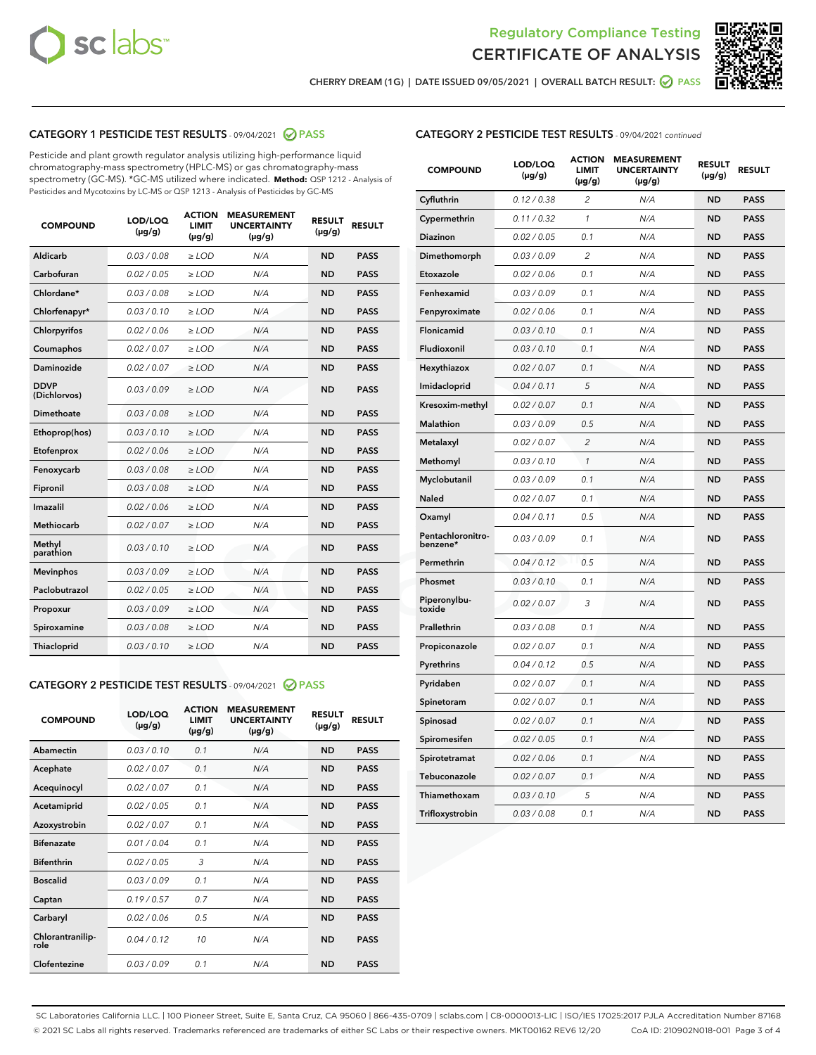



CHERRY DREAM (1G) | DATE ISSUED 09/05/2021 | OVERALL BATCH RESULT:  $\bigotimes$  PASS

## CATEGORY 1 PESTICIDE TEST RESULTS - 09/04/2021 2 PASS

Pesticide and plant growth regulator analysis utilizing high-performance liquid chromatography-mass spectrometry (HPLC-MS) or gas chromatography-mass spectrometry (GC-MS). \*GC-MS utilized where indicated. **Method:** QSP 1212 - Analysis of Pesticides and Mycotoxins by LC-MS or QSP 1213 - Analysis of Pesticides by GC-MS

| <b>COMPOUND</b>             | LOD/LOQ<br>$(\mu g/g)$ | <b>ACTION</b><br>LIMIT<br>$(\mu g/g)$ | <b>MEASUREMENT</b><br><b>UNCERTAINTY</b><br>$(\mu g/g)$ | <b>RESULT</b><br>$(\mu g/g)$ | <b>RESULT</b> |
|-----------------------------|------------------------|---------------------------------------|---------------------------------------------------------|------------------------------|---------------|
| Aldicarb                    | 0.03 / 0.08            | $\geq$ LOD                            | N/A                                                     | <b>ND</b>                    | <b>PASS</b>   |
| Carbofuran                  | 0.02 / 0.05            | $>$ LOD                               | N/A                                                     | <b>ND</b>                    | <b>PASS</b>   |
| Chlordane*                  | 0.03 / 0.08            | ≥ LOD                                 | N/A                                                     | <b>ND</b>                    | <b>PASS</b>   |
| Chlorfenapyr*               | 0.03/0.10              | ≥ LOD                                 | N/A                                                     | <b>ND</b>                    | <b>PASS</b>   |
| Chlorpyrifos                | 0.02 / 0.06            | $\geq$ LOD                            | N/A                                                     | <b>ND</b>                    | <b>PASS</b>   |
| Coumaphos                   | 0.02 / 0.07            | ≥ LOD                                 | N/A                                                     | <b>ND</b>                    | <b>PASS</b>   |
| Daminozide                  | 0.02 / 0.07            | $\geq$ LOD                            | N/A                                                     | <b>ND</b>                    | <b>PASS</b>   |
| <b>DDVP</b><br>(Dichlorvos) | 0.03/0.09              | $\geq$ LOD                            | N/A                                                     | <b>ND</b>                    | <b>PASS</b>   |
| Dimethoate                  | 0.03 / 0.08            | $\ge$ LOD                             | N/A                                                     | <b>ND</b>                    | <b>PASS</b>   |
| Ethoprop(hos)               | 0.03/0.10              | $>$ LOD                               | N/A                                                     | <b>ND</b>                    | <b>PASS</b>   |
| Etofenprox                  | 0.02 / 0.06            | $>$ LOD                               | N/A                                                     | <b>ND</b>                    | <b>PASS</b>   |
| Fenoxycarb                  | 0.03 / 0.08            | $\geq$ LOD                            | N/A                                                     | <b>ND</b>                    | <b>PASS</b>   |
| Fipronil                    | 0.03/0.08              | $\geq$ LOD                            | N/A                                                     | <b>ND</b>                    | <b>PASS</b>   |
| Imazalil                    | 0.02 / 0.06            | $\geq$ LOD                            | N/A                                                     | <b>ND</b>                    | <b>PASS</b>   |
| <b>Methiocarb</b>           | 0.02 / 0.07            | ≥ LOD                                 | N/A                                                     | <b>ND</b>                    | <b>PASS</b>   |
| Methyl<br>parathion         | 0.03/0.10              | $\geq$ LOD                            | N/A                                                     | <b>ND</b>                    | <b>PASS</b>   |
| <b>Mevinphos</b>            | 0.03/0.09              | $\geq$ LOD                            | N/A                                                     | <b>ND</b>                    | <b>PASS</b>   |
| Paclobutrazol               | 0.02 / 0.05            | $\geq$ LOD                            | N/A                                                     | <b>ND</b>                    | <b>PASS</b>   |
| Propoxur                    | 0.03/0.09              | ≥ LOD                                 | N/A                                                     | <b>ND</b>                    | <b>PASS</b>   |
| Spiroxamine                 | 0.03 / 0.08            | $\ge$ LOD                             | N/A                                                     | <b>ND</b>                    | <b>PASS</b>   |
| <b>Thiacloprid</b>          | 0.03/0.10              | $\geq$ LOD                            | N/A                                                     | <b>ND</b>                    | <b>PASS</b>   |
|                             |                        |                                       |                                                         |                              |               |

## CATEGORY 2 PESTICIDE TEST RESULTS - 09/04/2021 @ PASS

| <b>COMPOUND</b>          | LOD/LOO<br>$(\mu g/g)$ | <b>ACTION</b><br>LIMIT<br>$(\mu g/g)$ | <b>MEASUREMENT</b><br><b>UNCERTAINTY</b><br>$(\mu g/g)$ | <b>RESULT</b><br>$(\mu g/g)$ | <b>RESULT</b> |  |
|--------------------------|------------------------|---------------------------------------|---------------------------------------------------------|------------------------------|---------------|--|
| Abamectin                | 0.03/0.10              | 0.1                                   | N/A                                                     | <b>ND</b>                    | <b>PASS</b>   |  |
| Acephate                 | 0.02/0.07              | 0.1                                   | N/A                                                     | <b>ND</b>                    | <b>PASS</b>   |  |
| Acequinocyl              | 0.02/0.07              | 0.1                                   | N/A                                                     | <b>ND</b>                    | <b>PASS</b>   |  |
| Acetamiprid              | 0.02/0.05              | 0.1                                   | N/A                                                     | <b>ND</b>                    | <b>PASS</b>   |  |
| Azoxystrobin             | 0.02/0.07              | 0.1                                   | N/A                                                     | <b>ND</b>                    | <b>PASS</b>   |  |
| <b>Bifenazate</b>        | 0.01/0.04              | 0.1                                   | N/A                                                     | <b>ND</b>                    | <b>PASS</b>   |  |
| <b>Bifenthrin</b>        | 0.02/0.05              | 3                                     | N/A                                                     | <b>ND</b>                    | <b>PASS</b>   |  |
| <b>Boscalid</b>          | 0.03/0.09              | 0.1                                   | N/A                                                     | <b>ND</b>                    | <b>PASS</b>   |  |
| Captan                   | 0.19/0.57              | 0.7                                   | N/A                                                     | <b>ND</b>                    | <b>PASS</b>   |  |
| Carbaryl                 | 0.02/0.06              | 0.5                                   | N/A                                                     | <b>ND</b>                    | <b>PASS</b>   |  |
| Chlorantranilip-<br>role | 0.04/0.12              | 10                                    | N/A                                                     | <b>ND</b>                    | <b>PASS</b>   |  |
| Clofentezine             | 0.03/0.09              | 0.1                                   | N/A                                                     | <b>ND</b>                    | <b>PASS</b>   |  |

| <b>COMPOUND</b>               | LOD/LOQ<br>(µg/g) | <b>ACTION</b><br><b>LIMIT</b><br>(µg/g) | <b>MEASUREMENT</b><br><b>UNCERTAINTY</b><br>$(\mu g/g)$ | <b>RESULT</b><br>(µg/g) | <b>RESULT</b> |
|-------------------------------|-------------------|-----------------------------------------|---------------------------------------------------------|-------------------------|---------------|
| Cyfluthrin                    | 0.12 / 0.38       | $\overline{c}$                          | N/A                                                     | <b>ND</b>               | <b>PASS</b>   |
| Cypermethrin                  | 0.11/0.32         | $\mathcal{I}$                           | N/A                                                     | ND                      | PASS          |
| <b>Diazinon</b>               | 0.02 / 0.05       | 0.1                                     | N/A                                                     | <b>ND</b>               | <b>PASS</b>   |
| Dimethomorph                  | 0.03 / 0.09       | 2                                       | N/A                                                     | <b>ND</b>               | <b>PASS</b>   |
| Etoxazole                     | 0.02 / 0.06       | 0.1                                     | N/A                                                     | <b>ND</b>               | <b>PASS</b>   |
| Fenhexamid                    | 0.03 / 0.09       | 0.1                                     | N/A                                                     | ND                      | <b>PASS</b>   |
| Fenpyroximate                 | 0.02 / 0.06       | 0.1                                     | N/A                                                     | <b>ND</b>               | <b>PASS</b>   |
| Flonicamid                    | 0.03 / 0.10       | 0.1                                     | N/A                                                     | <b>ND</b>               | <b>PASS</b>   |
| Fludioxonil                   | 0.03/0.10         | 0.1                                     | N/A                                                     | <b>ND</b>               | <b>PASS</b>   |
| Hexythiazox                   | 0.02 / 0.07       | 0.1                                     | N/A                                                     | <b>ND</b>               | <b>PASS</b>   |
| Imidacloprid                  | 0.04 / 0.11       | 5                                       | N/A                                                     | <b>ND</b>               | <b>PASS</b>   |
| Kresoxim-methyl               | 0.02 / 0.07       | 0.1                                     | N/A                                                     | <b>ND</b>               | <b>PASS</b>   |
| <b>Malathion</b>              | 0.03 / 0.09       | 0.5                                     | N/A                                                     | <b>ND</b>               | <b>PASS</b>   |
| Metalaxyl                     | 0.02 / 0.07       | $\overline{c}$                          | N/A                                                     | <b>ND</b>               | <b>PASS</b>   |
| Methomyl                      | 0.03 / 0.10       | 1                                       | N/A                                                     | ND                      | <b>PASS</b>   |
| Myclobutanil                  | 0.03 / 0.09       | 0.1                                     | N/A                                                     | <b>ND</b>               | <b>PASS</b>   |
| Naled                         | 0.02 / 0.07       | 0.1                                     | N/A                                                     | <b>ND</b>               | <b>PASS</b>   |
| Oxamyl                        | 0.04 / 0.11       | 0.5                                     | N/A                                                     | <b>ND</b>               | <b>PASS</b>   |
| Pentachloronitro-<br>benzene* | 0.03 / 0.09       | 0.1                                     | N/A                                                     | <b>ND</b>               | <b>PASS</b>   |
| Permethrin                    | 0.04 / 0.12       | 0.5                                     | N/A                                                     | <b>ND</b>               | <b>PASS</b>   |
| Phosmet                       | 0.03 / 0.10       | 0.1                                     | N/A                                                     | <b>ND</b>               | <b>PASS</b>   |
| Piperonylbu-<br>toxide        | 0.02 / 0.07       | 3                                       | N/A                                                     | <b>ND</b>               | <b>PASS</b>   |
| Prallethrin                   | 0.03 / 0.08       | 0.1                                     | N/A                                                     | ND                      | <b>PASS</b>   |
| Propiconazole                 | 0.02 / 0.07       | 0.1                                     | N/A                                                     | <b>ND</b>               | <b>PASS</b>   |
| Pyrethrins                    | 0.04 / 0.12       | 0.5                                     | N/A                                                     | <b>ND</b>               | <b>PASS</b>   |
| Pyridaben                     | 0.02 / 0.07       | 0.1                                     | N/A                                                     | ND                      | <b>PASS</b>   |
| Spinetoram                    | 0.02 / 0.07       | 0.1                                     | N/A                                                     | <b>ND</b>               | <b>PASS</b>   |
| Spinosad                      | 0.02 / 0.07       | 0.1                                     | N/A                                                     | ND                      | <b>PASS</b>   |
| Spiromesifen                  | 0.02 / 0.05       | 0.1                                     | N/A                                                     | ND                      | <b>PASS</b>   |
| Spirotetramat                 | 0.02 / 0.06       | 0.1                                     | N/A                                                     | <b>ND</b>               | <b>PASS</b>   |
| Tebuconazole                  | 0.02 / 0.07       | 0.1                                     | N/A                                                     | <b>ND</b>               | <b>PASS</b>   |
| Thiamethoxam                  | 0.03 / 0.10       | 5                                       | N/A                                                     | ND                      | <b>PASS</b>   |
| Trifloxystrobin               | 0.03 / 0.08       | 0.1                                     | N/A                                                     | ND                      | <b>PASS</b>   |

SC Laboratories California LLC. | 100 Pioneer Street, Suite E, Santa Cruz, CA 95060 | 866-435-0709 | sclabs.com | C8-0000013-LIC | ISO/IES 17025:2017 PJLA Accreditation Number 87168 © 2021 SC Labs all rights reserved. Trademarks referenced are trademarks of either SC Labs or their respective owners. MKT00162 REV6 12/20 CoA ID: 210902N018-001 Page 3 of 4